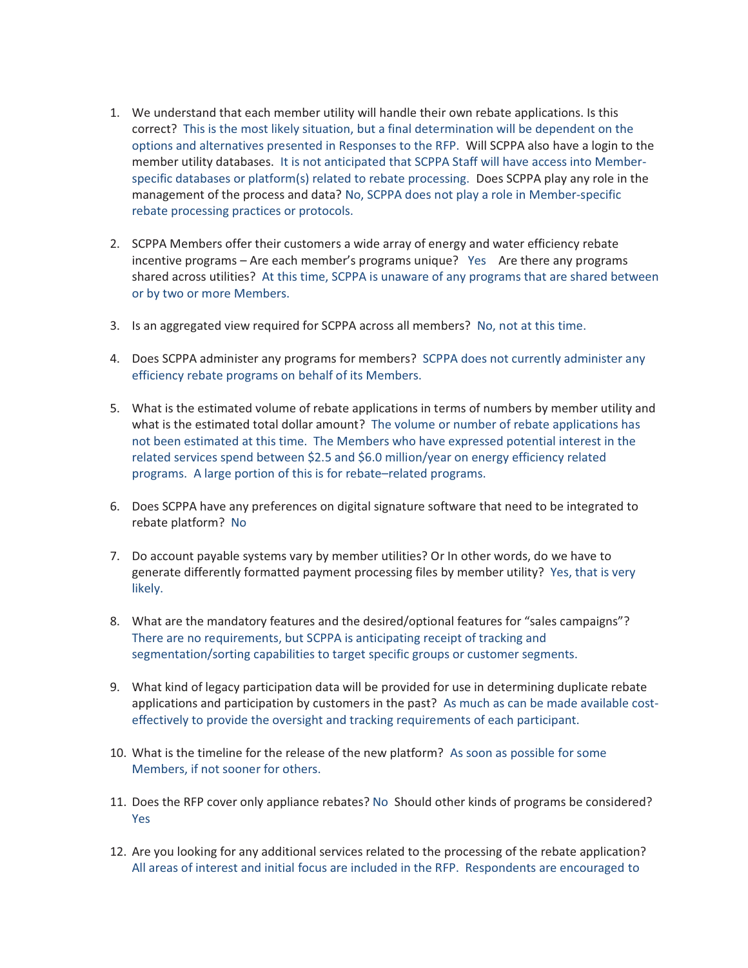- 1. We understand that each member utility will handle their own rebate applications. Is this correct? This is the most likely situation, but a final determination will be dependent on the options and alternatives presented in Responses to the RFP. Will SCPPA also have a login to the member utility databases. It is not anticipated that SCPPA Staff will have access into Memberspecific databases or platform(s) related to rebate processing. Does SCPPA play any role in the management of the process and data? No, SCPPA does not play a role in Member-specific rebate processing practices or protocols.
- 2. SCPPA Members offer their customers a wide array of energy and water efficiency rebate incentive programs – Are each member's programs unique? Yes Are there any programs shared across utilities? At this time, SCPPA is unaware of any programs that are shared between or by two or more Members.
- 3. Is an aggregated view required for SCPPA across all members? No, not at this time.
- 4. Does SCPPA administer any programs for members? SCPPA does not currently administer any efficiency rebate programs on behalf of its Members.
- 5. What is the estimated volume of rebate applications in terms of numbers by member utility and what is the estimated total dollar amount? The volume or number of rebate applications has not been estimated at this time. The Members who have expressed potential interest in the related services spend between \$2.5 and \$6.0 million/year on energy efficiency related programs. A large portion of this is for rebate–related programs.
- 6. Does SCPPA have any preferences on digital signature software that need to be integrated to rebate platform? No
- 7. Do account payable systems vary by member utilities? Or In other words, do we have to generate differently formatted payment processing files by member utility? Yes, that is very likely.
- 8. What are the mandatory features and the desired/optional features for "sales campaigns"? There are no requirements, but SCPPA is anticipating receipt of tracking and segmentation/sorting capabilities to target specific groups or customer segments.
- 9. What kind of legacy participation data will be provided for use in determining duplicate rebate applications and participation by customers in the past? As much as can be made available costeffectively to provide the oversight and tracking requirements of each participant.
- 10. What is the timeline for the release of the new platform? As soon as possible for some Members, if not sooner for others.
- 11. Does the RFP cover only appliance rebates? No Should other kinds of programs be considered? Yes
- 12. Are you looking for any additional services related to the processing of the rebate application? All areas of interest and initial focus are included in the RFP. Respondents are encouraged to